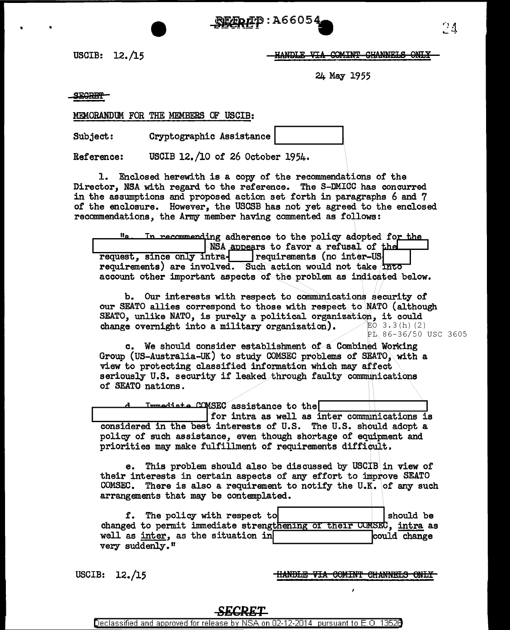**要象座P:A66054** 

USCIB:  $12./15$ 

HANDLE VIA COMINT CHANNELS ONLY

24 May 1955

**SECRET** 

MEMORANDUM FOR THE MEMBERS OF USCIB:

Subject: Cryptographic Assistance

Reference: USCIB 12./10 of 26 October 1954.

1. Enclosed herewith is a copy of the recommendations of the Director, NSA with regard to the reference. The S-DMICC has concurred in the assumptions and proposed action set forth in paragraphs 6 and 7 of the enclosure. However, the USCSB has not yet agreed to the enclosed recommendations, the Army member having commented as follows:

ii o In recommending adherence to the policy adopted for the NSA appears to favor a refusal of the request, since only intra- requirements (no inter-US requirements) are involved. Such action would not take into account other important aspects of the problem as indicated below.

b. Our interests with respect to communications security of our SEATO allies correspond to those with respect to NATO (although SEATO, unlike NATO, is purely a political organization, it could change overnight into a military organization).  $EO$  3.3(h)(2) PL 86-36/50 USC 3605

c. We should consider establishment of a Combined Working Group (US-Australia-UK) to study COMSEC problems of SEATO, with a view to protecting classified information which may affect seriously U.S. security if leaked through faulty communications of SEATO nations.

Immediate COMSEC assistance to the

for intra as well as inter communications is considered in the best interests of U.S. The U.S. should adopt a policy of such assistance, even though shortage of equipment and priorities may make fulfillment of requirements difficult.

This problem should also be discussed by USCIB in view of e. their interests in certain aspects of any effort to improve SEATO COMSEC. There is also a requirement to notify the U.K. of any such arrangements that may be contemplated.

|                                    |  |  | f. The policy with respect to |  |                                                                     |  |  | should be    |  |
|------------------------------------|--|--|-------------------------------|--|---------------------------------------------------------------------|--|--|--------------|--|
|                                    |  |  |                               |  | changed to permit immediate strengthening of their COMSEC, intra as |  |  |              |  |
| well as inter, as the situation in |  |  |                               |  |                                                                     |  |  | could change |  |
| verv suddenlv."                    |  |  |                               |  |                                                                     |  |  |              |  |

USCIB:  $12./15$ 

HANDLE VIA COMINT CHANNELS ONLY

Declassified and approved for release by NSA on 02-12-2014 pursuant to E.O. 13526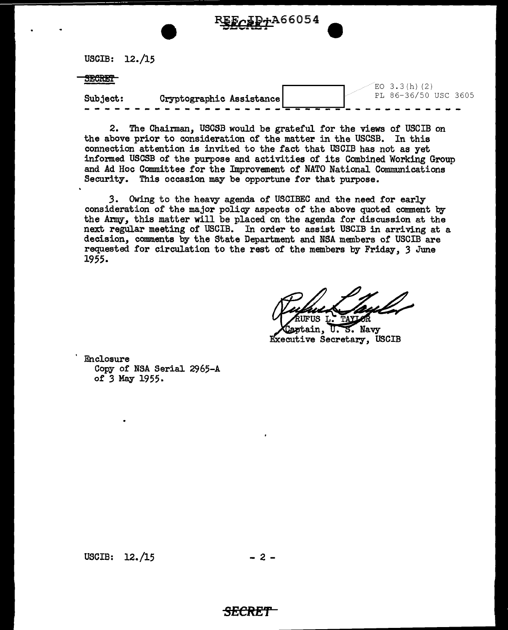USCIB: 12./15

## **SECRET**

|                                      |  | EU 3.3(D)(Z) |  |                      |
|--------------------------------------|--|--------------|--|----------------------|
| Cryptographic Assistance<br>Subject: |  |              |  | PL 86-36/50 USC 3605 |
| -------- <del>-----</del>            |  |              |  |                      |

F<sub>CAPT</sub>A66054

2. The Chairman, USCSB would be grateful for the views of USCIB on the above prior to consideration of the matter in the USCSB. In this connection attention is invited to the fact that USCIB has not as yet informed USCSB of the purpose and activities of its Combined Working Group and Ad Hoc Committee for the Improvement of NATO National Communications Security. This occasion may be opportune for that purpose.

*3.* Owing to the heavy agenda of USCIBEC and the need for early consideration of the major policy aspects of the above quoted comment by the *Army,* this matter will be placed on the agenda for discussion at the next regular meeting of USCIB. In order to assist USCIB in arriving at a decision, comments by the State Department and NSA members of USCIB are requested for circulation to the rest of the members by Friday, *3* June 1955.

FUS L. TAYLOR

Cartain.  $U. S.$  Navy Executive Secretary, USCIB

Enclosure Copy of NSA Serial 2965-A of *3* May 1955.

USCIB:  $12. / 15$  - 2 -

## *SECRET*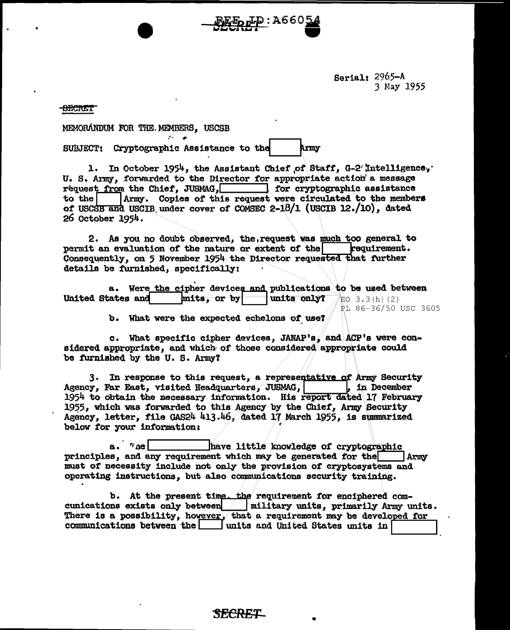Serial:  $2965 - A$ 3 May 1955

<del>SECRET</del>

MEMORÁNDUM FOR THE MEMBERS. USCSB

Cryptographic Assistance to the Army **SUBJECT:** 

1. In October 1954, the Assistant Chief of Staff, G-2 Intelligence, U. S. Army, forwarded to the Director for appropriate action a message request from the Chief. JUSMAG. The reprographic assistance  $to$  the Army. Copies of this request were circulated to the members of USCSB and USCIB under cover of COMSEC 2-18/1 (USCIB 12./10), dated 26 October 1954.

<u>tp:</u>A660

2. As you no doubt observed, the, request was much too general to permit an evaluation of the nature or extent of the requirement. Consequently, on 5 November 1954 the Director requested that further details be furnished, specifically:

a. Were the cipher devices and publications to be used between United States and mits, or by units only? EO 3.3(h)(2) PL 86-36/50 USC 3605

b. What were the expected echelons of use?

c. What specific cipher devices, JANAP's, and ACP's were considered appropriate, and which of those considered appropriate could be furnished by the U.S. Army?

3. In response to this request, a representative of Army Security Agency, Far East, visited Headquarters, JUSMAG, , in December 1954 to obtain the necessary information. His report dated 17 February 1955, which was forwarded to this Agency by the Chief, Army Security Agency, letter, file GAS24 413.46, dated 17 March 1955, is summarized below for your information:

 $a \cdot \eta_{\text{ne}}$ have little knowledge of cryptographic principles, and any requirement which may be generated for the Army must of necessity include not only the provision of cryptosystems and operating instructions, but also communications security training.

b. At the present time. the requirement for enciphered comcunications exists only between | military units, primarily Army units. There is a possibility, however, that a requirement may be developed for communications between the  $\Box$  units and United States units in

Secret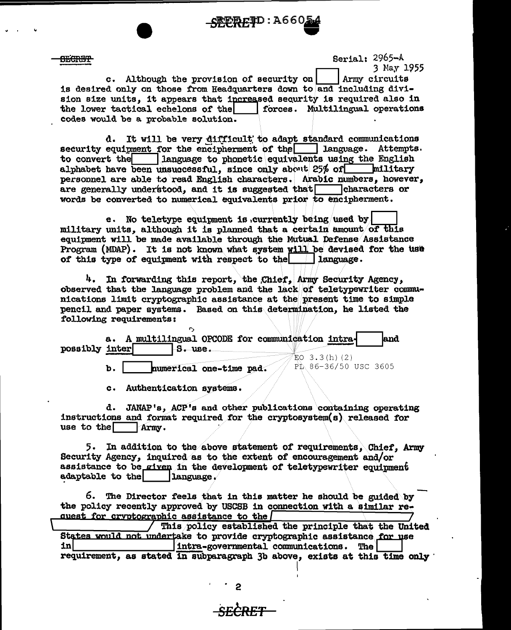

Serial: 2965-A

<del>SECRIFI</del>

3 May 1955 c. Although the provision of security on Army circuits is desired only on those from Headquarters down to and including division size units, it appears that increased sequrity is required also in the lower tactical echelons of the forces. Multilingual operations codes would be a probable solution.

It will be very difficult to adapt standard communications d. security equipment for the encipherment of the language. Attempts. language to phonetic equivalents using the English to convert the alphabet have been unsuccessful, since only about 25% of militarv personnel are able to read English characters. Arabic numbers, however, are generally understood, and it is suggested that characters or words be converted to numerical equivalents prior to encipherment.

e. No teletype equipment is currently being used by military units, although it is planned that a certain amount of this equipment will be made available through the Mutual Defense Assistance Program (MDAP). It is not known what system will be devised for the use of this type of equipment with respect to the  $\Box$  language.

4. In forwarding this report, the Chief, Army Security Agency, observed that the language problem and the lack of teletypewriter communications limit cryptographic assistance at the present time to simple pencil and paper systems. Based on this determination, he listed the following requirements:

|                | a. A multilingual OPCODE for communication intra- | land                 |
|----------------|---------------------------------------------------|----------------------|
| possibly inter | -S. use.                                          | 3.3(h)(2)            |
|                | numerical one-time pad.                           | PL 86-36/50 USC 3605 |

 $c -$ Authentication systems.

d. JANAP's, ACP's and other publications containing operating instructions and format required for the cryptosystem(s) released for use to the Army.

5. In addition to the above statement of requirements. Chief. Army Security Agency, inquired as to the extent of encouragement and/or assistance to be given in the development of teletypewriter equipment adaptable to the language.

6. The Director feels that in this matter he should be guided by the policy recently approved by USCSB in connection with a similar request for cryptographic assistance to the

This policy established the principle that the United States would not undertake to provide cryptographic assistance for use inl intra-governmental communications. The requirement, as stated in subparagraph 3b above, exists at this time only